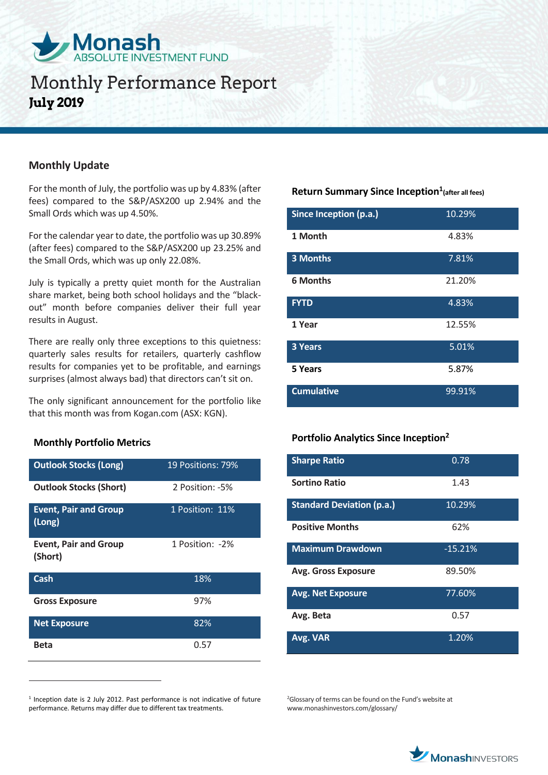

# **Monthly Performance Report July 2019**

## **Monthly Update**

For the month of July, the portfolio was up by 4.83% (after fees) compared to the S&P/ASX200 up 2.94% and the Small Ords which was up 4.50%.

For the calendar year to date, the portfolio was up 30.89% (after fees) compared to the S&P/ASX200 up 23.25% and the Small Ords, which was up only 22.08%.

July is typically a pretty quiet month for the Australian share market, being both school holidays and the "blackout" month before companies deliver their full year results in August.

There are really only three exceptions to this quietness: quarterly sales results for retailers, quarterly cashflow results for companies yet to be profitable, and earnings surprises (almost always bad) that directors can't sit on.

The only significant announcement for the portfolio like that this month was from Kogan.com (ASX: KGN).

### **Monthly Portfolio Metrics**

 $\overline{a}$ 

| <b>Outlook Stocks (Long)</b>            | 19 Positions: 79% |
|-----------------------------------------|-------------------|
| <b>Outlook Stocks (Short)</b>           | 2 Position: -5%   |
| <b>Event, Pair and Group</b><br>(Long)  | 1 Position: 11%   |
| <b>Event, Pair and Group</b><br>(Short) | 1 Position: -2%   |
| Cash                                    | 18%               |
| <b>Gross Exposure</b>                   | 97%               |
| <b>Net Exposure</b>                     | 82%               |
| Beta                                    | 0.57              |

<sup>1</sup> Inception date is 2 July 2012. Past performance is not indicative of future performance. Returns may differ due to different tax treatments.

## **Return Summary Since Inception<sup>1</sup> (after all fees)**

| Since Inception (p.a.) | 10.29% |
|------------------------|--------|
| 1 Month                | 4.83%  |
| 3 Months               | 7.81%  |
| <b>6 Months</b>        | 21.20% |
| <b>FYTD</b>            | 4.83%  |
| 1 Year                 | 12.55% |
| 3 Years                | 5.01%  |
| 5 Years                | 5.87%  |
| <b>Cumulative</b>      | 99.91% |

### **Portfolio Analytics Since Inception<sup>2</sup>**

| <b>Sharpe Ratio</b>              | 0.78      |
|----------------------------------|-----------|
| <b>Sortino Ratio</b>             | 1.43      |
| <b>Standard Deviation (p.a.)</b> | 10.29%    |
| <b>Positive Months</b>           | 62%       |
| <b>Maximum Drawdown</b>          | $-15.21%$ |
| <b>Avg. Gross Exposure</b>       | 89.50%    |
| <b>Avg. Net Exposure</b>         | 77.60%    |
| Avg. Beta                        | 0.57      |
| Avg. VAR                         | 1.20%     |

<sup>2</sup>Glossary of terms can be found on the Fund's website at www.monashinvestors.com/glossary/